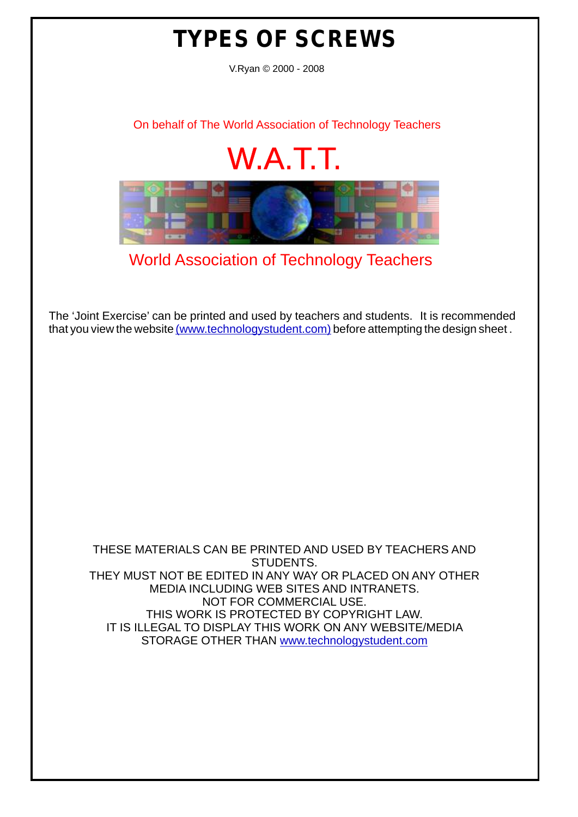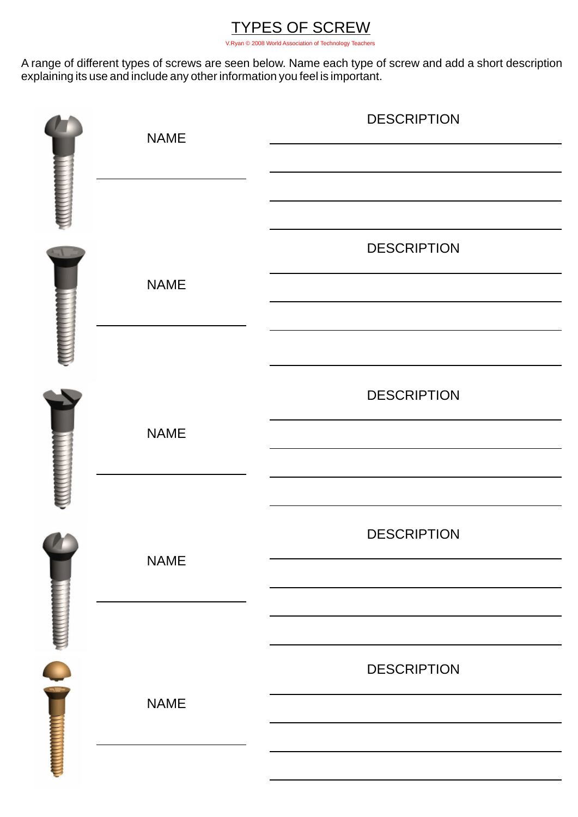

A range of different types of screws are seen below. Name each type of screw and add a short description explaining its use and include any other information you feel is important.

|  | <b>NAME</b> | <b>DESCRIPTION</b> |
|--|-------------|--------------------|
|  |             |                    |
|  |             |                    |
|  |             | <b>DESCRIPTION</b> |
|  | <b>NAME</b> |                    |
|  |             |                    |
|  |             |                    |
|  |             | <b>DESCRIPTION</b> |
|  | <b>NAME</b> |                    |
|  |             |                    |
|  |             |                    |
|  | <b>NAME</b> | <b>DESCRIPTION</b> |
|  |             |                    |
|  |             |                    |
|  |             | <b>DESCRIPTION</b> |
|  | <b>NAME</b> |                    |
|  |             |                    |
|  |             |                    |